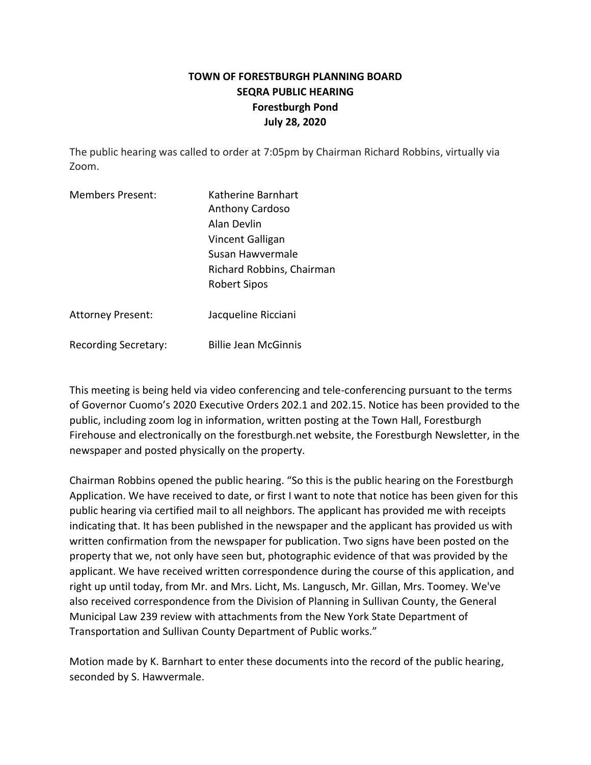## **TOWN OF FORESTBURGH PLANNING BOARD SEQRA PUBLIC HEARING Forestburgh Pond July 28, 2020**

The public hearing was called to order at 7:05pm by Chairman Richard Robbins, virtually via Zoom.

| <b>Members Present:</b> | Katherine Barnhart        |
|-------------------------|---------------------------|
|                         | <b>Anthony Cardoso</b>    |
|                         | Alan Devlin               |
|                         | Vincent Galligan          |
|                         | Susan Hawvermale          |
|                         | Richard Robbins, Chairman |
|                         | <b>Robert Sipos</b>       |
|                         |                           |

Attorney Present: Jacqueline Ricciani

Recording Secretary: Billie Jean McGinnis

This meeting is being held via video conferencing and tele-conferencing pursuant to the terms of Governor Cuomo's 2020 Executive Orders 202.1 and 202.15. Notice has been provided to the public, including zoom log in information, written posting at the Town Hall, Forestburgh Firehouse and electronically on the forestburgh.net website, the Forestburgh Newsletter, in the newspaper and posted physically on the property.

Chairman Robbins opened the public hearing. "So this is the public hearing on the Forestburgh Application. We have received to date, or first I want to note that notice has been given for this public hearing via certified mail to all neighbors. The applicant has provided me with receipts indicating that. It has been published in the newspaper and the applicant has provided us with written confirmation from the newspaper for publication. Two signs have been posted on the property that we, not only have seen but, photographic evidence of that was provided by the applicant. We have received written correspondence during the course of this application, and right up until today, from Mr. and Mrs. Licht, Ms. Langusch, Mr. Gillan, Mrs. Toomey. We've also received correspondence from the Division of Planning in Sullivan County, the General Municipal Law 239 review with attachments from the New York State Department of Transportation and Sullivan County Department of Public works."

Motion made by K. Barnhart to enter these documents into the record of the public hearing, seconded by S. Hawvermale.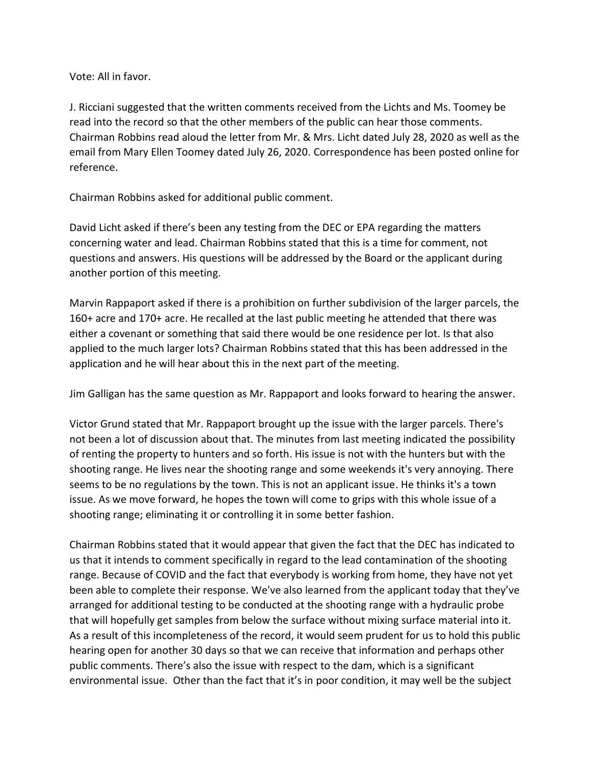Vote: All in favor.

J. Ricciani suggested that the written comments received from the Lichts and Ms. Toomey be read into the record so that the other members of the public can hear those comments. Chairman Robbins read aloud the letter from Mr. & Mrs. Licht dated July 28, 2020 as well as the email from Mary Ellen Toomey dated July 26, 2020. Correspondence has been posted online for reference.

Chairman Robbins asked for additional public comment.

David Licht asked if there's been any testing from the DEC or EPA regarding the matters concerning water and lead. Chairman Robbins stated that this is a time for comment, not questions and answers. His questions will be addressed by the Board or the applicant during another portion of this meeting.

Marvin Rappaport asked if there is a prohibition on further subdivision of the larger parcels, the 160+ acre and 170+ acre. He recalled at the last public meeting he attended that there was either a covenant or something that said there would be one residence per lot. Is that also applied to the much larger lots? Chairman Robbins stated that this has been addressed in the application and he will hear about this in the next part of the meeting.

Jim Galligan has the same question as Mr. Rappaport and looks forward to hearing the answer.

Victor Grund stated that Mr. Rappaport brought up the issue with the larger parcels. There's not been a lot of discussion about that. The minutes from last meeting indicated the possibility of renting the property to hunters and so forth. His issue is not with the hunters but with the shooting range. He lives near the shooting range and some weekends it's very annoying. There seems to be no regulations by the town. This is not an applicant issue. He thinks it's a town issue. As we move forward, he hopes the town will come to grips with this whole issue of a shooting range; eliminating it or controlling it in some better fashion.

Chairman Robbins stated that it would appear that given the fact that the DEC has indicated to us that it intends to comment specifically in regard to the lead contamination of the shooting range. Because of COVID and the fact that everybody is working from home, they have not yet been able to complete their response. We've also learned from the applicant today that they've arranged for additional testing to be conducted at the shooting range with a hydraulic probe that will hopefully get samples from below the surface without mixing surface material into it. As a result of this incompleteness of the record, it would seem prudent for us to hold this public hearing open for another 30 days so that we can receive that information and perhaps other public comments. There's also the issue with respect to the dam, which is a significant environmental issue. Other than the fact that it's in poor condition, it may well be the subject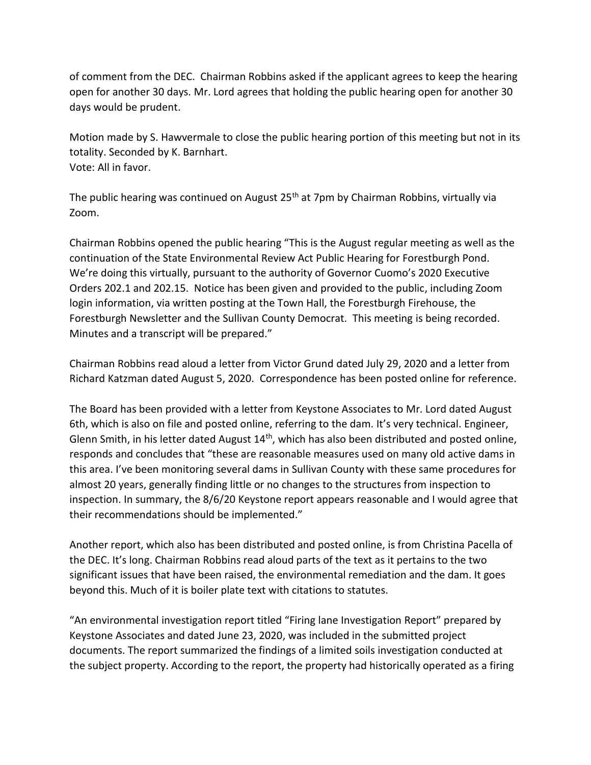of comment from the DEC. Chairman Robbins asked if the applicant agrees to keep the hearing open for another 30 days. Mr. Lord agrees that holding the public hearing open for another 30 days would be prudent.

Motion made by S. Hawvermale to close the public hearing portion of this meeting but not in its totality. Seconded by K. Barnhart. Vote: All in favor.

The public hearing was continued on August 25<sup>th</sup> at 7pm by Chairman Robbins, virtually via Zoom.

Chairman Robbins opened the public hearing "This is the August regular meeting as well as the continuation of the State Environmental Review Act Public Hearing for Forestburgh Pond. We're doing this virtually, pursuant to the authority of Governor Cuomo's 2020 Executive Orders 202.1 and 202.15. Notice has been given and provided to the public, including Zoom login information, via written posting at the Town Hall, the Forestburgh Firehouse, the Forestburgh Newsletter and the Sullivan County Democrat. This meeting is being recorded. Minutes and a transcript will be prepared."

Chairman Robbins read aloud a letter from Victor Grund dated July 29, 2020 and a letter from Richard Katzman dated August 5, 2020. Correspondence has been posted online for reference.

The Board has been provided with a letter from Keystone Associates to Mr. Lord dated August 6th, which is also on file and posted online, referring to the dam. It's very technical. Engineer, Glenn Smith, in his letter dated August  $14<sup>th</sup>$ , which has also been distributed and posted online, responds and concludes that "these are reasonable measures used on many old active dams in this area. I've been monitoring several dams in Sullivan County with these same procedures for almost 20 years, generally finding little or no changes to the structures from inspection to inspection. In summary, the 8/6/20 Keystone report appears reasonable and I would agree that their recommendations should be implemented."

Another report, which also has been distributed and posted online, is from Christina Pacella of the DEC. It's long. Chairman Robbins read aloud parts of the text as it pertains to the two significant issues that have been raised, the environmental remediation and the dam. It goes beyond this. Much of it is boiler plate text with citations to statutes.

"An environmental investigation report titled "Firing lane Investigation Report" prepared by Keystone Associates and dated June 23, 2020, was included in the submitted project documents. The report summarized the findings of a limited soils investigation conducted at the subject property. According to the report, the property had historically operated as a firing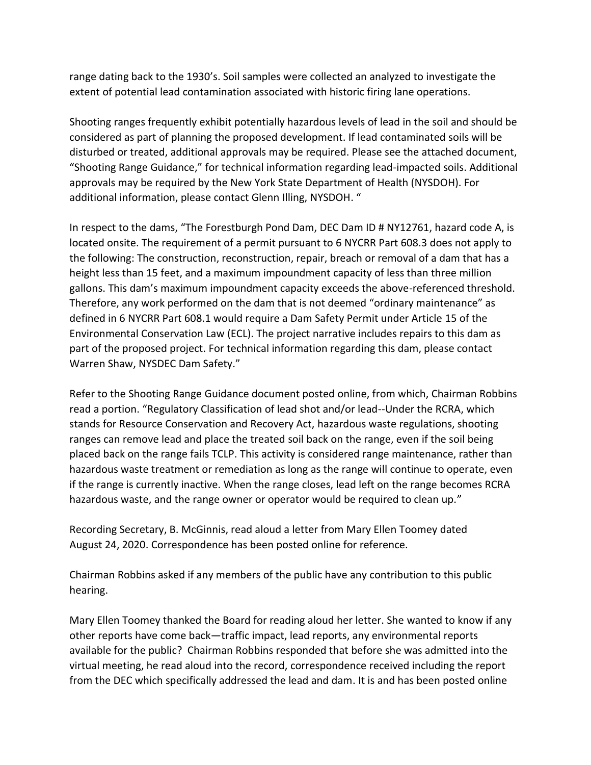range dating back to the 1930's. Soil samples were collected an analyzed to investigate the extent of potential lead contamination associated with historic firing lane operations.

Shooting ranges frequently exhibit potentially hazardous levels of lead in the soil and should be considered as part of planning the proposed development. If lead contaminated soils will be disturbed or treated, additional approvals may be required. Please see the attached document, "Shooting Range Guidance," for technical information regarding lead-impacted soils. Additional approvals may be required by the New York State Department of Health (NYSDOH). For additional information, please contact Glenn Illing, NYSDOH. "

In respect to the dams, "The Forestburgh Pond Dam, DEC Dam ID # NY12761, hazard code A, is located onsite. The requirement of a permit pursuant to 6 NYCRR Part 608.3 does not apply to the following: The construction, reconstruction, repair, breach or removal of a dam that has a height less than 15 feet, and a maximum impoundment capacity of less than three million gallons. This dam's maximum impoundment capacity exceeds the above-referenced threshold. Therefore, any work performed on the dam that is not deemed "ordinary maintenance" as defined in 6 NYCRR Part 608.1 would require a Dam Safety Permit under Article 15 of the Environmental Conservation Law (ECL). The project narrative includes repairs to this dam as part of the proposed project. For technical information regarding this dam, please contact Warren Shaw, NYSDEC Dam Safety."

Refer to the Shooting Range Guidance document posted online, from which, Chairman Robbins read a portion. "Regulatory Classification of lead shot and/or lead--Under the RCRA, which stands for Resource Conservation and Recovery Act, hazardous waste regulations, shooting ranges can remove lead and place the treated soil back on the range, even if the soil being placed back on the range fails TCLP. This activity is considered range maintenance, rather than hazardous waste treatment or remediation as long as the range will continue to operate, even if the range is currently inactive. When the range closes, lead left on the range becomes RCRA hazardous waste, and the range owner or operator would be required to clean up."

Recording Secretary, B. McGinnis, read aloud a letter from Mary Ellen Toomey dated August 24, 2020. Correspondence has been posted online for reference.

Chairman Robbins asked if any members of the public have any contribution to this public hearing.

Mary Ellen Toomey thanked the Board for reading aloud her letter. She wanted to know if any other reports have come back—traffic impact, lead reports, any environmental reports available for the public? Chairman Robbins responded that before she was admitted into the virtual meeting, he read aloud into the record, correspondence received including the report from the DEC which specifically addressed the lead and dam. It is and has been posted online